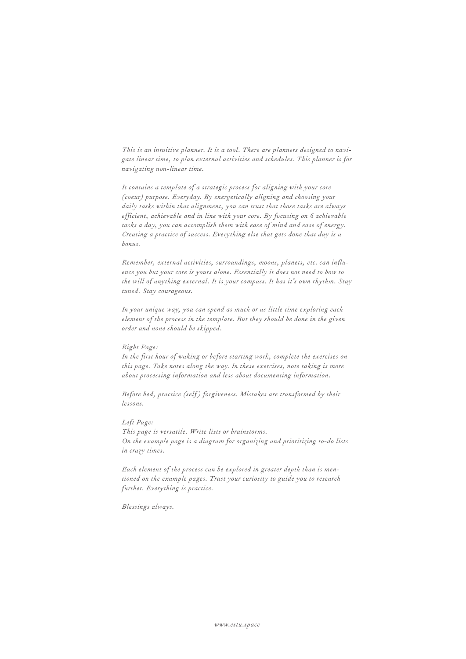*This is an intuitive planner. It is a tool. There are planners designed to navigate linear time, to plan external activities and schedules. This planner is for navigating non-linear time.*

*It contains a template of a strategic process for aligning with your core (coeur) purpose. Everyday. By energetically aligning and choosing your daily tasks within that alignment, you can trust that those tasks are always efficient, achievable and in line with your core. By focusing on 6 achievable tasks a day, you can accomplish them with ease of mind and ease of energy. Creating a practice of success. Everything else that gets done that day is a bonus.*

*Remember, external activities, surroundings, moons, planets, etc. can influence you but your core is yours alone. Essentially it does not need to bow to the will of anything external. It is your compass. It has it's own rhythm. Stay tuned. Stay courageous.* 

*In your unique way, you can spend as much or as little time exploring each element of the process in the template. But they should be done in the given order and none should be skipped.* 

## *Right Page:*

*In the first hour of waking or before starting work, complete the exercises on this page. Take notes along the way. In these exercises, note taking is more about processing information and less about documenting information.* 

*Before bed, practice (self) forgiveness. Mistakes are transformed by their lessons.* 

## *Left Page:*

*This page is versatile. Write lists or brainstorms. On the example page is a diagram for organizing and prioritizing to-do lists in crazy times.*

*Each element of the process can be explored in greater depth than is mentioned on the example pages. Trust your curiosity to guide you to research further. Everything is practice.*

*Blessings always.*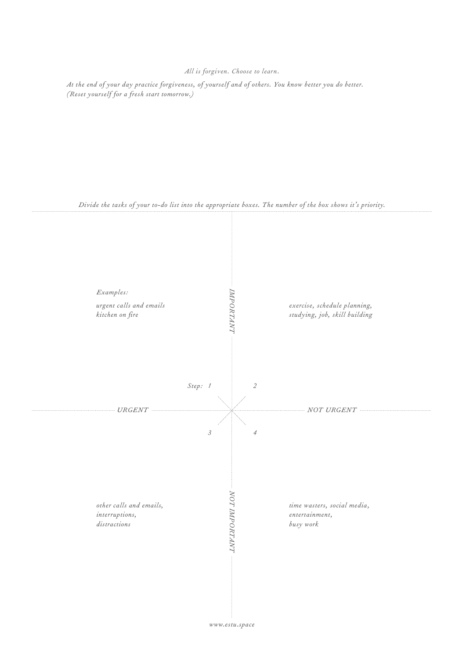## *All is forgiven. Choose to learn.*

*At the end of your day practice forgiveness, of yourself and of others. You know better you do better. (Reset yourself for a fresh start tomorrow.)*



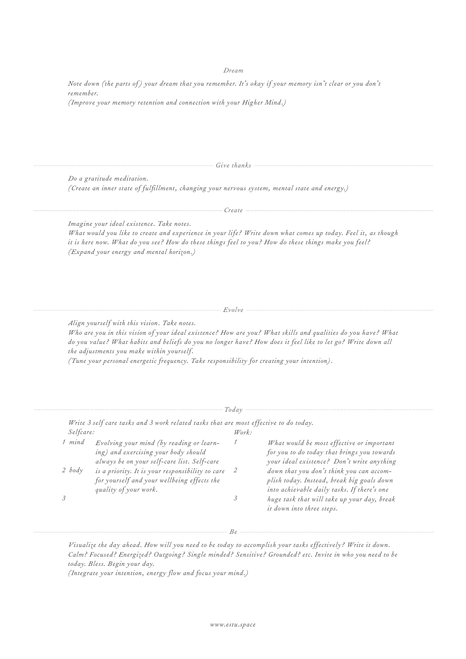## *Dream*

*Note down (the parts of) your dream that you remember. It's okay if your memory isn't clear or you don't remember. (Improve your memory retention and connection with your Higher Mind.)*

*Give thanks*

*Do a gratitude meditation. (Create an inner state of fulfillment, changing your nervous system, mental state and energy.)*

*Create*

*Imagine your ideal existence. Take notes.*

*What would you like to create and experience in your life? Write down what comes up today. Feel it, as though it is here now. What do you see? How do these things feel to you? How do these things make you feel? (Expand your energy and mental horizon.)*

*Evolve* — *Evolve* 

*Align yourself with this vision. Take notes.*

*Who are you in this vision of your ideal existence? How are you? What skills and qualities do you have? What do you value? What habits and beliefs do you no longer have? How does it feel like to let go? Write down all the adjustments you make within yourself.* 

*(Tune your personal energetic frequency. Take responsibility for creating your intention).*

| Selfcare: |                                                                                                                                 | $W$ ork: |                                                                                                                                        |
|-----------|---------------------------------------------------------------------------------------------------------------------------------|----------|----------------------------------------------------------------------------------------------------------------------------------------|
| 1 mind    | Evolving your mind (by reading or learn-<br>ing) and exercising your body should<br>always be on your self-care list. Self-care |          | What would be most effective or important<br>for you to do today that brings you towards<br>your ideal existence? Don't write anything |
| $2$ body  | is a priority. It is your responsibility to care<br>for yourself and your wellbeing effects the<br>quality of your work.        | - 2      | down that you don't think you can accom-<br>plish today. Instead, break big goals down<br>into achievable daily tasks. If there's one  |
|           |                                                                                                                                 |          | huge task that will take up your day, break<br>it down into three steps.                                                               |

*Visualize the day ahead. How will you need to be today to accomplish your tasks effectively? Write it down. Calm? Focused? Energized? Outgoing? Single minded? Sensitive? Grounded? etc. Invite in who you need to be today. Bless. Begin your day.*

*(Integrate your intention, energy flow and focus your mind.)*